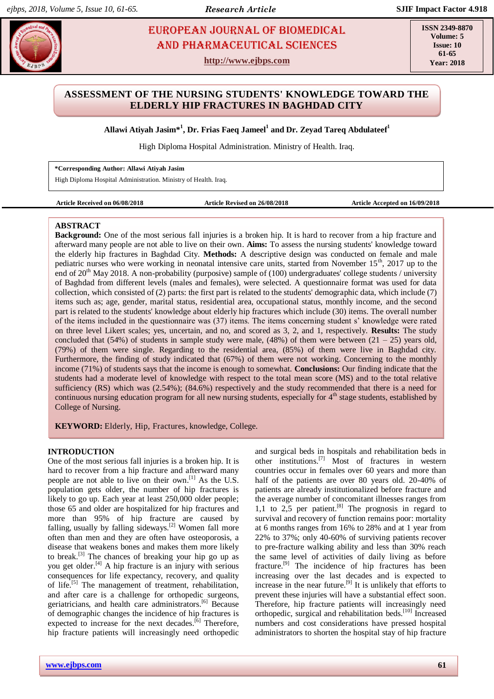# **FIOROPEAN JOURNAL OF BIOMEDICAL AND RESS ASSESSMENT AND PHARMACEUTICAL SCIENCES** AND Pharmaceutical sciences

**http://www.ejbps.com**

**ISSN 2349-8870 Volume: 5 Issue: 10 61-65 Year: 2018**

# **ASSESSMENT OF THE NURSING STUDENTS' KNOWLEDGE TOWARD THE ELDERLY HIP FRACTURES IN BAGHDAD CITY**

**Allawi Atiyah Jasim\* 1 , Dr. Frias Faeq Jameel<sup>1</sup> and Dr. Zeyad Tareq Abdulateef<sup>1</sup>**

High Diploma Hospital Administration. Ministry of Health. Iraq.

**\*Corresponding Author: Allawi Atiyah Jasim** High Diploma Hospital Administration. Ministry of Health. Iraq.

**Article Received on 06/08/2018 Article Revised on 26/08/2018 Article Accepted on 16/09/2018**

# **ABSTRACT**

**Background:** One of the most serious fall injuries is a broken hip. It is hard to recover from a hip fracture and afterward many people are not able to live on their own. **Aims:** To assess the nursing students' knowledge toward the elderly hip fractures in Baghdad City. **Methods:** A descriptive design was conducted on female and male pediatric nurses who were working in neonatal intensive care units, started from November 15th, 2017 up to the end of  $20<sup>th</sup>$  May 2018. A non-probability (purposive) sample of (100) undergraduates' college students / university of Baghdad from different levels (males and females), were selected. A questionnaire format was used for data collection, which consisted of (2) parts: the first part is related to the students' demographic data, which include (7) items such as; age, gender, marital status, residential area, occupational status, monthly income, and the second part is related to the students' knowledge about elderly hip fractures which include (30) items. The overall number of the items included in the questionnaire was (37) items. The items concerning student s' knowledge were rated on three level Likert scales; yes, uncertain, and no, and scored as 3, 2, and 1, respectively. **Results:** The study concluded that (54%) of students in sample study were male, (48%) of them were between  $(21 – 25)$  years old, (79%) of them were single. Regarding to the residential area, (85%) of them were live in Baghdad city. Furthermore, the finding of study indicated that (67%) of them were not working. Concerning to the monthly income (71%) of students says that the income is enough to somewhat. **Conclusions:** Our finding indicate that the students had a moderate level of knowledge with respect to the total mean score (MS) and to the total relative sufficiency (RS) which was (2.54%); (84.6%) respectively and the study recommended that there is a need for continuous nursing education program for all new nursing students, especially for  $4<sup>th</sup>$  stage students, established by College of Nursing.

**KEYWORD:** Elderly, Hip, Fractures, knowledge, College.

# **INTRODUCTION**

One of the most serious fall injuries is a broken hip. It is hard to recover from a hip fracture and afterward many people are not able to live on their own. [1] As the U.S. population gets older, the number of hip fractures is likely to go up. Each year at least 250,000 older people; those 65 and older are hospitalized for hip fractures and more than 95% of hip fracture are caused by falling, usually by falling sideways.<sup>[2]</sup> Women fall more often than men and they are often have osteoporosis, a disease that weakens bones and makes them more likely to break.<sup>[3]</sup> The chances of breaking your hip go up as you get older.<sup>[4]</sup> A hip fracture is an injury with serious consequences for life expectancy, recovery, and quality of life.<sup>[5]</sup> The management of treatment, rehabilitation, and after care is a challenge for orthopedic surgeons, geriatricians, and health care administrators. [6] Because of demographic changes the incidence of hip fractures is expected to increase for the next decades.<sup>[6]</sup> Therefore, hip fracture patients will increasingly need orthopedic and surgical beds in hospitals and rehabilitation beds in other institutions. [7] Most of fractures in western countries occur in females over 60 years and more than half of the patients are over 80 years old. 20-40% of patients are already institutionalized before fracture and the average number of concomitant illnesses ranges from 1,1 to  $2,5$  per patient.<sup>[8]</sup> The prognosis in regard to survival and recovery of function remains poor: mortality at 6 months ranges from 16% to 28% and at 1 year from 22% to 37%; only 40-60% of surviving patients recover to pre-fracture walking ability and less than 30% reach the same level of activities of daily living as before fracture.<sup>[9]</sup> The incidence of hip fractures has been increasing over the last decades and is expected to increase in the near future.<sup>[9]</sup> It is unlikely that efforts to prevent these injuries will have a substantial effect soon. Therefore, hip fracture patients will increasingly need orthopedic, surgical and rehabilitation beds. [10] Increased numbers and cost considerations have pressed hospital administrators to shorten the hospital stay of hip fracture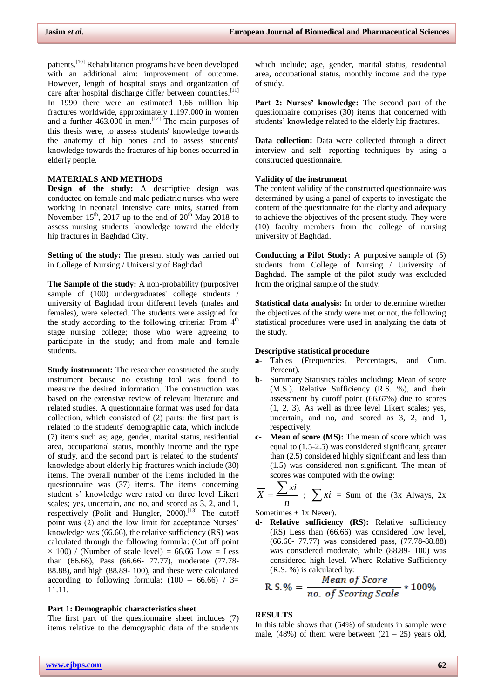patients.<sup>[10]</sup> Rehabilitation programs have been developed with an additional aim: improvement of outcome. However, length of hospital stays and organization of care after hospital discharge differ between countries.<sup>[11]</sup> In 1990 there were an estimated 1,66 million hip fractures worldwide, approximately 1.197.000 in women and a further  $463.000$  in men.<sup>[12]</sup> The main purposes of this thesis were, to assess students' knowledge towards the anatomy of hip bones and to assess students' knowledge towards the fractures of hip bones occurred in elderly people.

#### **MATERIALS AND METHODS**

**Design of the study:** A descriptive design was conducted on female and male pediatric nurses who were working in neonatal intensive care units, started from November  $15<sup>th</sup>$ , 2017 up to the end of  $20<sup>th</sup>$  May 2018 to assess nursing students' knowledge toward the elderly hip fractures in Baghdad City.

**Setting of the study:** The present study was carried out in College of Nursing / University of Baghdad.

**The Sample of the study:** A non-probability (purposive) sample of (100) undergraduates' college students / university of Baghdad from different levels (males and females), were selected. The students were assigned for the study according to the following criteria: From  $4<sup>th</sup>$ stage nursing college; those who were agreeing to participate in the study; and from male and female students.

**Study instrument:** The researcher constructed the study instrument because no existing tool was found to measure the desired information. The construction was based on the extensive review of relevant literature and related studies. A questionnaire format was used for data collection, which consisted of (2) parts: the first part is related to the students' demographic data, which include (7) items such as; age, gender, marital status, residential area, occupational status, monthly income and the type of study, and the second part is related to the students' knowledge about elderly hip fractures which include (30) items. The overall number of the items included in the questionnaire was (37) items. The items concerning student s' knowledge were rated on three level Likert scales; yes, uncertain, and no, and scored as 3, 2, and 1, respectively (Polit and Hungler, 2000).<sup>[13]</sup> The cutoff point was (2) and the low limit for acceptance Nurses' knowledge was (66.66), the relative sufficiency (RS) was calculated through the following formula: (Cut off point  $\times$  100) / (Number of scale level) = 66.66 Low = Less than (66.66), Pass (66.66- 77.77), moderate (77.78- 88.88), and high (88.89- 100), and these were calculated according to following formula:  $(100 - 66.66) / 3=$ 11.11.

#### **Part 1: Demographic characteristics sheet**

The first part of the questionnaire sheet includes (7) items relative to the demographic data of the students

which include; age, gender, marital status, residential area, occupational status, monthly income and the type of study.

**Part 2: Nurses' knowledge:** The second part of the questionnaire comprises (30) items that concerned with students' knowledge related to the elderly hip fractures.

**Data collection:** Data were collected through a direct interview and self- reporting techniques by using a constructed questionnaire.

#### **Validity of the instrument**

The content validity of the constructed questionnaire was determined by using a panel of experts to investigate the content of the questionnaire for the clarity and adequacy to achieve the objectives of the present study. They were (10) faculty members from the college of nursing university of Baghdad.

**Conducting a Pilot Study:** A purposive sample of (5) students from College of Nursing / University of Baghdad. The sample of the pilot study was excluded from the original sample of the study.

**Statistical data analysis:** In order to determine whether the objectives of the study were met or not, the following statistical procedures were used in analyzing the data of the study.

#### **Descriptive statistical procedure**

- **a-** Tables (Frequencies, Percentages, and Cum. Percent).
- **b-** Summary Statistics tables including: Mean of score (M.S.). Relative Sufficiency (R.S. %), and their assessment by cutoff point (66.67%) due to scores (1, 2, 3). As well as three level Likert scales; yes, uncertain, and no, and scored as 3, 2, and 1, respectively.
- **c- Mean of score (MS):** The mean of score which was equal to (1.5-2.5) was considered significant, greater than (2.5) considered highly significant and less than (1.5) was considered non-significant. The mean of scores was computed with the owing:

$$
\overline{X} = \frac{\sum xi}{n}
$$
;  $\sum xi = Sum$  of the (3x Always, 2x

Sometimes  $+ 1x$  Never).

**d- Relative sufficiency (RS):** Relative sufficiency (RS) Less than (66.66) was considered low level, (66.66- 77.77) was considered pass, (77.78-88.88) was considered moderate, while (88.89- 100) was considered high level. Where Relative Sufficiency (R.S. %) is calculated by:

R. S. % = 
$$
\frac{Mean\ of\ Score}{no\ of\ Scoring\ Scale} * 100\%
$$

# **RESULTS**

In this table shows that (54%) of students in sample were male,  $(48%)$  of them were between  $(21 – 25)$  years old,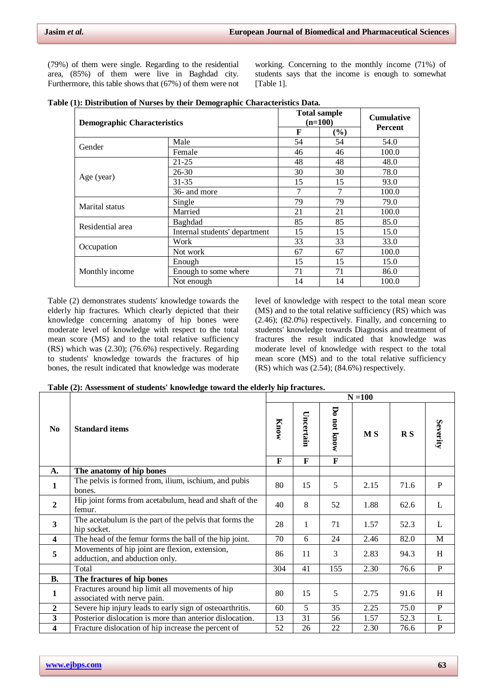(79%) of them were single. Regarding to the residential area, (85%) of them were live in Baghdad city. Furthermore, this table shows that (67%) of them were not

working. Concerning to the monthly income (71%) of students says that the income is enough to somewhat [Table 1].

|  |  |  | Table (1): Distribution of Nurses by their Demographic Characteristics Data. |  |
|--|--|--|------------------------------------------------------------------------------|--|
|  |  |  |                                                                              |  |

| <b>Demographic Characteristics</b>                                                   |                               | <b>Total sample</b><br>$(n=100)$ |                                                                     | <b>Cumulative</b>                                                                                 |  |
|--------------------------------------------------------------------------------------|-------------------------------|----------------------------------|---------------------------------------------------------------------|---------------------------------------------------------------------------------------------------|--|
|                                                                                      |                               | F                                | $(\%)$                                                              |                                                                                                   |  |
| Gender                                                                               | Male                          | 54                               | 54                                                                  | 54.0                                                                                              |  |
|                                                                                      | Female                        | 46                               | 46<br>48<br>30<br>15<br>7<br>79<br>21<br>85<br>15<br>33<br>67<br>15 | 100.0                                                                                             |  |
|                                                                                      | $21 - 25$                     | 48                               |                                                                     | 48.0                                                                                              |  |
|                                                                                      | 26-30                         | 30                               |                                                                     | <b>Percent</b><br>78.0<br>93.0<br>100.0<br>79.0<br>100.0<br>85.0<br>15.0<br>33.0<br>100.0<br>15.0 |  |
| Age (year)<br>$31 - 35$<br>15<br>7<br>36- and more<br>79<br>Single<br>Marital status |                               |                                  |                                                                     |                                                                                                   |  |
|                                                                                      |                               | 21<br>85<br>15<br>33             |                                                                     |                                                                                                   |  |
|                                                                                      |                               |                                  |                                                                     |                                                                                                   |  |
|                                                                                      | Married                       |                                  |                                                                     |                                                                                                   |  |
| Residential area                                                                     | Baghdad                       |                                  |                                                                     |                                                                                                   |  |
|                                                                                      | Internal students' department |                                  |                                                                     |                                                                                                   |  |
|                                                                                      | Work                          |                                  |                                                                     |                                                                                                   |  |
| Occupation                                                                           | Not work                      | 67                               |                                                                     |                                                                                                   |  |
|                                                                                      | Enough                        | 15                               |                                                                     |                                                                                                   |  |
| Monthly income                                                                       | Enough to some where          | 71                               | 71                                                                  | 86.0                                                                                              |  |
|                                                                                      | Not enough                    | 14                               | 14                                                                  | 100.0                                                                                             |  |

Table (2) demonstrates students' knowledge towards the elderly hip fractures. Which clearly depicted that their knowledge concerning anatomy of hip bones were moderate level of knowledge with respect to the total mean score (MS) and to the total relative sufficiency (RS) which was (2.30); (76.6%) respectively. Regarding to students' knowledge towards the fractures of hip bones, the result indicated that knowledge was moderate

level of knowledge with respect to the total mean score (MS) and to the total relative sufficiency (RS) which was (2.46); (82.0%) respectively. Finally, and concerning to students' knowledge towards Diagnosis and treatment of fractures the result indicated that knowledge was moderate level of knowledge with respect to the total mean score (MS) and to the total relative sufficiency  $(RS)$  which was  $(2.54)$ ;  $(84.6%)$  respectively.

**Table (2): Assessment of students' knowledge toward the elderly hip fractures.**

|                         |                                                                                  | $N = 100$            |                           |                  |                |                         |                |
|-------------------------|----------------------------------------------------------------------------------|----------------------|---------------------------|------------------|----------------|-------------------------|----------------|
| N <sub>0</sub>          | <b>Standard items</b>                                                            | Know<br>$\mathbf{F}$ | Uncertain<br>$\mathbf{F}$ | Do not know<br>F | M <sub>S</sub> | $\mathbf{R} \mathbf{S}$ | Severity       |
| A.                      | The anatomy of hip bones                                                         |                      |                           |                  |                |                         |                |
| 1                       | The pelvis is formed from, ilium, ischium, and pubis<br>bones.                   | 80                   | 15                        | 5                | 2.15           | 71.6                    | $\mathbf{P}$   |
| $\mathbf{2}$            | Hip joint forms from acetabulum, head and shaft of the<br>femur.                 | 40                   | 8                         | 52               | 1.88           | 62.6                    | L              |
| 3                       | The acetabulum is the part of the pelvis that forms the<br>hip socket.           | 28                   | 1                         | 71               | 1.57           | 52.3                    | L              |
| $\overline{\mathbf{4}}$ | The head of the femur forms the ball of the hip joint.                           | 70                   | 6                         | 24               | 2.46           | 82.0                    | M              |
| 5                       | Movements of hip joint are flexion, extension,<br>adduction, and abduction only. | 86                   | 11                        | 3                | 2.83           | 94.3                    | H              |
|                         | Total                                                                            | 304                  | 41                        | 155              | 2.30           | 76.6                    | $\overline{P}$ |
| <b>B.</b>               | The fractures of hip bones                                                       |                      |                           |                  |                |                         |                |
| 1                       | Fractures around hip limit all movements of hip<br>associated with nerve pain.   | 80                   | 15                        | 5                | 2.75           | 91.6                    | H              |
| $\mathbf{2}$            | Severe hip injury leads to early sign of osteoarthritis.                         | 60                   | 5                         | 35               | 2.25           | 75.0                    | $\mathbf{P}$   |
| 3                       | Posterior dislocation is more than anterior dislocation.                         | 13                   | 31                        | 56               | 1.57           | 52.3                    | L              |
| 4                       | Fracture dislocation of hip increase the percent of                              | 52                   | 26                        | 22               | 2.30           | 76.6                    | P              |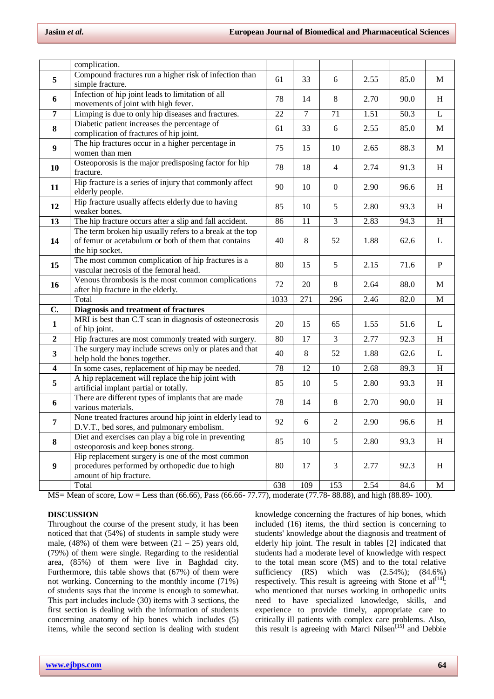|                         | complication.                                                                                 |      |                |                                                                                                                                                                                                                                                                                                    |              |      |              |
|-------------------------|-----------------------------------------------------------------------------------------------|------|----------------|----------------------------------------------------------------------------------------------------------------------------------------------------------------------------------------------------------------------------------------------------------------------------------------------------|--------------|------|--------------|
| 5                       | Compound fractures run a higher risk of infection than                                        | 61   | 33             |                                                                                                                                                                                                                                                                                                    |              |      | M            |
|                         | simple fracture.                                                                              |      |                |                                                                                                                                                                                                                                                                                                    |              |      |              |
| 6                       | Infection of hip joint leads to limitation of all                                             | 78   | 14             | 6<br>2.55<br>85.0<br>$\,8\,$<br>2.70<br>90.0<br>50.3<br>71<br>1.51<br>$6\,$<br>2.55<br>85.0<br>10<br>88.3<br>2.65<br>$\overline{4}$<br>2.74<br>91.3<br>2.90<br>$\boldsymbol{0}$<br>96.6<br>5<br>93.3<br>2.80<br>$\overline{\mathbf{3}}$<br>2.83<br>94.3<br>52<br>62.6<br>1.88<br>5<br>2.15<br>71.6 | $\, {\rm H}$ |      |              |
|                         | movements of joint with high fever.                                                           |      |                |                                                                                                                                                                                                                                                                                                    |              |      |              |
| $\overline{7}$          | Limping is due to only hip diseases and fractures.                                            | 22   | $\overline{7}$ |                                                                                                                                                                                                                                                                                                    |              |      | $\mathbf L$  |
| 8                       | Diabetic patient increases the percentage of<br>complication of fractures of hip joint.       | 61   | 33             |                                                                                                                                                                                                                                                                                                    |              |      | M            |
| 9                       | The hip fractures occur in a higher percentage in                                             | 75   | 15             |                                                                                                                                                                                                                                                                                                    |              |      | M            |
|                         | women than men                                                                                |      |                |                                                                                                                                                                                                                                                                                                    |              |      |              |
| 10                      | Osteoporosis is the major predisposing factor for hip                                         | 78   | 18             |                                                                                                                                                                                                                                                                                                    |              |      | H            |
|                         | fracture.<br>Hip fracture is a series of injury that commonly affect                          |      |                |                                                                                                                                                                                                                                                                                                    |              |      |              |
| 11                      | elderly people.                                                                               | 90   | 10             |                                                                                                                                                                                                                                                                                                    |              |      | H            |
|                         | Hip fracture usually affects elderly due to having                                            |      |                |                                                                                                                                                                                                                                                                                                    |              |      |              |
| 12                      | weaker bones.                                                                                 | 85   | 10             |                                                                                                                                                                                                                                                                                                    |              |      | H            |
| 13                      | The hip fracture occurs after a slip and fall accident.                                       | 86   | 11             |                                                                                                                                                                                                                                                                                                    |              |      | $\, {\rm H}$ |
|                         | The term broken hip usually refers to a break at the top                                      |      |                |                                                                                                                                                                                                                                                                                                    |              |      |              |
| 14                      | of femur or acetabulum or both of them that contains                                          | 40   | 8              |                                                                                                                                                                                                                                                                                                    |              |      | $\mathbf{L}$ |
|                         | the hip socket.                                                                               |      |                |                                                                                                                                                                                                                                                                                                    |              |      |              |
|                         | The most common complication of hip fractures is a                                            |      |                |                                                                                                                                                                                                                                                                                                    |              |      |              |
| 15                      | vascular necrosis of the femoral head.                                                        | 80   | 15             |                                                                                                                                                                                                                                                                                                    |              |      | ${\bf P}$    |
| 16                      | Venous thrombosis is the most common complications                                            | 72   | 20             | $\,8\,$                                                                                                                                                                                                                                                                                            | 2.64         | 88.0 | M            |
|                         | after hip fracture in the elderly.                                                            |      |                |                                                                                                                                                                                                                                                                                                    |              |      |              |
|                         | Total                                                                                         | 1033 | 271            | 296                                                                                                                                                                                                                                                                                                | 2.46         | 82.0 | M            |
| C.                      | Diagnosis and treatment of fractures                                                          |      |                |                                                                                                                                                                                                                                                                                                    |              |      |              |
| 1                       | MRI is best than C.T scan in diagnosis of osteonecrosis<br>of hip joint.                      | 20   | 15             | 65                                                                                                                                                                                                                                                                                                 | 1.55         | 51.6 | L            |
| $\overline{2}$          | Hip fractures are most commonly treated with surgery.                                         | 80   | 17             | $\mathfrak{Z}$                                                                                                                                                                                                                                                                                     | 2.77         | 92.3 | H            |
| 3                       | The surgery may include screws only or plates and that                                        | 40   | 8              | 52                                                                                                                                                                                                                                                                                                 | 1.88         | 62.6 | L            |
|                         | help hold the bones together.                                                                 |      |                |                                                                                                                                                                                                                                                                                                    |              |      |              |
| $\overline{\mathbf{4}}$ | In some cases, replacement of hip may be needed.                                              | 78   | 12             | $10\,$                                                                                                                                                                                                                                                                                             | 2.68         | 89.3 | H            |
| 5                       | A hip replacement will replace the hip joint with                                             |      |                |                                                                                                                                                                                                                                                                                                    |              |      | H            |
| 6                       |                                                                                               | 85   | 10             | 5                                                                                                                                                                                                                                                                                                  | 2.80         | 93.3 |              |
|                         | artificial implant partial or totally.<br>There are different types of implants that are made |      |                |                                                                                                                                                                                                                                                                                                    |              |      |              |
|                         | various materials.                                                                            | 78   | 14             | $\,8\,$                                                                                                                                                                                                                                                                                            | 2.70         | 90.0 | H            |
|                         | None treated fractures around hip joint in elderly lead to                                    |      |                |                                                                                                                                                                                                                                                                                                    |              |      |              |
| 7                       | D.V.T., bed sores, and pulmonary embolism.                                                    | 92   | 6              | $\overline{2}$                                                                                                                                                                                                                                                                                     | 2.90         | 96.6 | $\, {\rm H}$ |
|                         | Diet and exercises can play a big role in preventing                                          |      |                |                                                                                                                                                                                                                                                                                                    |              |      |              |
| 8                       | osteoporosis and keep bones strong.                                                           | 85   | 10             | $\sqrt{5}$                                                                                                                                                                                                                                                                                         | 2.80         | 93.3 | H            |
|                         | Hip replacement surgery is one of the most common                                             |      |                |                                                                                                                                                                                                                                                                                                    |              |      |              |
| 9                       | procedures performed by orthopedic due to high                                                | 80   | 17             | 3                                                                                                                                                                                                                                                                                                  | 2.77         | 92.3 | H            |
|                         | amount of hip fracture.<br>Total                                                              | 638  | 109            | 153                                                                                                                                                                                                                                                                                                | 2.54         | 84.6 | M            |

MS= Mean of score, Low = Less than (66.66), Pass (66.66- 77.77), moderate (77.78- 88.88), and high (88.89- 100).

# **DISCUSSION**

Throughout the course of the present study, it has been noticed that that (54%) of students in sample study were male,  $(48\%)$  of them were between  $(21 - 25)$  years old, (79%) of them were single. Regarding to the residential area, (85%) of them were live in Baghdad city. Furthermore, this table shows that (67%) of them were not working. Concerning to the monthly income (71%) of students says that the income is enough to somewhat. This part includes include (30) items with 3 sections, the first section is dealing with the information of students concerning anatomy of hip bones which includes (5) items, while the second section is dealing with student

knowledge concerning the fractures of hip bones, which included (16) items, the third section is concerning to students' knowledge about the diagnosis and treatment of elderly hip joint. The result in tables [2] indicated that students had a moderate level of knowledge with respect to the total mean score (MS) and to the total relative sufficiency  $(RS)$  which was  $(2.54\%)$ ;  $(84.6\%)$ respectively. This result is agreeing with Stone et  $al^{[14]}$ ; who mentioned that nurses working in orthopedic units need to have specialized knowledge, skills, and experience to provide timely, appropriate care to critically ill patients with complex care problems. Also, this result is agreeing with [Marci Nilsen](https://www.ncbi.nlm.nih.gov/pubmed/?term=Nilsen%20M%5BAuthor%5D&cauthor=true&cauthor_uid=24496114)<sup>[15]</sup> and Debbie